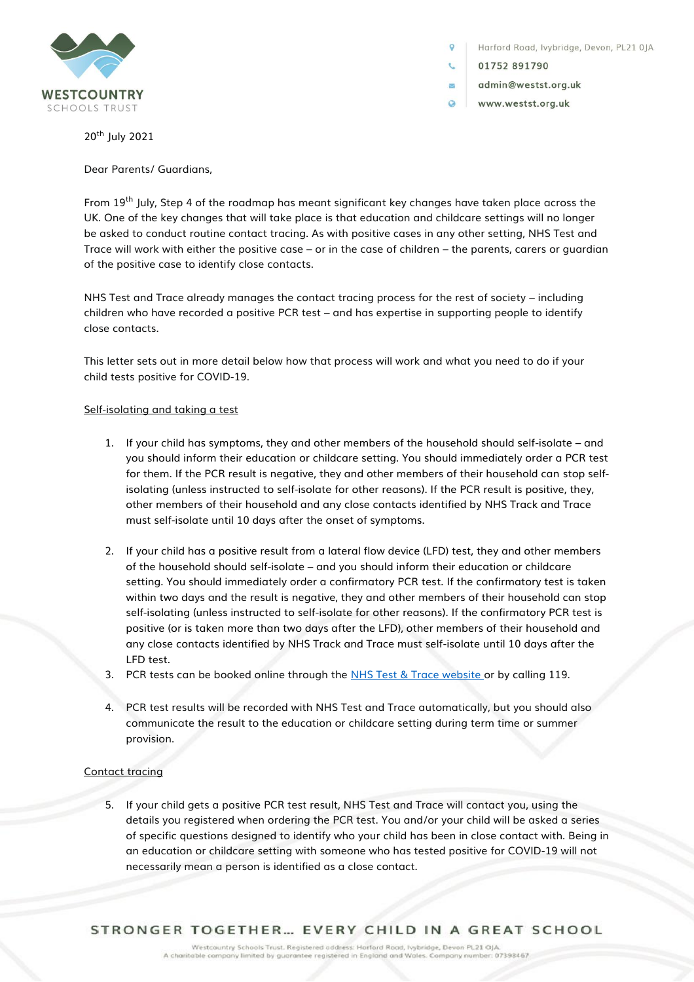

Harford Road, lvybridge, Devon, PL21 0JA

01752 891790

 $\overline{\mathbf{v}}$ 

- admin@westst.org.uk
- $\Omega$ www.westst.org.uk

20th July 2021

Dear Parents/ Guardians,

From  $19<sup>th</sup>$  July, Step 4 of the roadmap has meant significant key changes have taken place across the UK. One of the key changes that will take place is that education and childcare settings will no longer be asked to conduct routine contact tracing. As with positive cases in any other setting, NHS Test and Trace will work with either the positive case – or in the case of children – the parents, carers or guardian of the positive case to identify close contacts.

NHS Test and Trace already manages the contact tracing process for the rest of society – including children who have recorded a positive PCR test – and has expertise in supporting people to identify close contacts.

This letter sets out in more detail below how that process will work and what you need to do if your child tests positive for COVID-19.

## Self-isolating and taking a test

- 1. If your child has symptoms, they and other members of the household should self-isolate and you should inform their education or childcare setting. You should immediately order a PCR test for them. If the PCR result is negative, they and other members of their household can stop selfisolating (unless instructed to self-isolate for other reasons). If the PCR result is positive, they, other members of their household and any close contacts identified by NHS Track and Trace must self-isolate until 10 days after the onset of symptoms.
- 2. If your child has a positive result from a lateral flow device (LFD) test, they and other members of the household should self-isolate – and you should inform their education or childcare setting. You should immediately order a confirmatory PCR test. If the confirmatory test is taken within two days and the result is negative, they and other members of their household can stop self-isolating (unless instructed to self-isolate for other reasons). If the confirmatory PCR test is positive (or is taken more than two days after the LFD), other members of their household and any close contacts identified by NHS Track and Trace must self-isolate until 10 days after the LFD test.
- 3. PCR tests can be booked online through the [NHS Test & Trace website](https://www.nhs.uk/conditions/coronavirus-covid-19/testing/) or by calling 119.
- 4. PCR test results will be recorded with NHS Test and Trace automatically, but you should also communicate the result to the education or childcare setting during term time or summer provision.

## Contact tracing

5. If your child gets a positive PCR test result, NHS Test and Trace will contact you, using the details you registered when ordering the PCR test. You and/or your child will be asked a series of specific questions designed to identify who your child has been in close contact with. Being in an education or childcare setting with someone who has tested positive for COVID-19 will not necessarily mean a person is identified as a close contact.